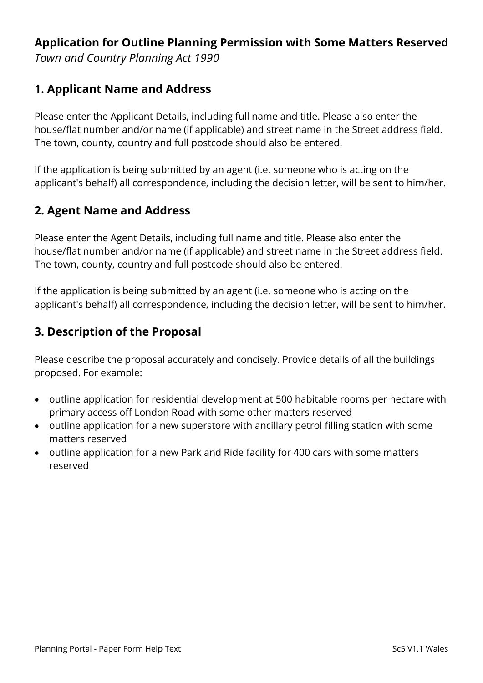# **Application for Outline Planning Permission with Some Matters Reserved**

*Town and Country Planning Act 1990*

## **1. Applicant Name and Address**

Please enter the Applicant Details, including full name and title. Please also enter the house/flat number and/or name (if applicable) and street name in the Street address field. The town, county, country and full postcode should also be entered.

If the application is being submitted by an agent (i.e. someone who is acting on the applicant's behalf) all correspondence, including the decision letter, will be sent to him/her.

## **2. Agent Name and Address**

Please enter the Agent Details, including full name and title. Please also enter the house/flat number and/or name (if applicable) and street name in the Street address field. The town, county, country and full postcode should also be entered.

If the application is being submitted by an agent (i.e. someone who is acting on the applicant's behalf) all correspondence, including the decision letter, will be sent to him/her.

# **3. Description of the Proposal**

Please describe the proposal accurately and concisely. Provide details of all the buildings proposed. For example:

- outline application for residential development at 500 habitable rooms per hectare with primary access off London Road with some other matters reserved
- outline application for a new superstore with ancillary petrol filling station with some matters reserved
- outline application for a new Park and Ride facility for 400 cars with some matters reserved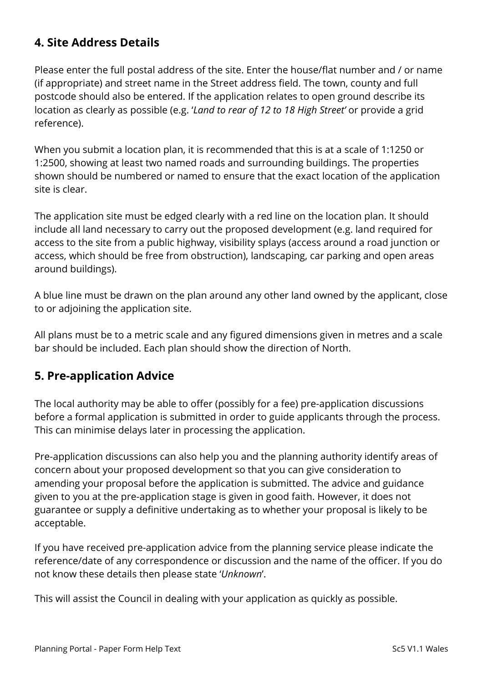# **4. Site Address Details**

Please enter the full postal address of the site. Enter the house/flat number and / or name (if appropriate) and street name in the Street address field. The town, county and full postcode should also be entered. If the application relates to open ground describe its location as clearly as possible (e.g. '*Land to rear of 12 to 18 High Street'* or provide a grid reference).

When you submit a location plan, it is recommended that this is at a scale of 1:1250 or 1:2500, showing at least two named roads and surrounding buildings. The properties shown should be numbered or named to ensure that the exact location of the application site is clear.

The application site must be edged clearly with a red line on the location plan. It should include all land necessary to carry out the proposed development (e.g. land required for access to the site from a public highway, visibility splays (access around a road junction or access, which should be free from obstruction), landscaping, car parking and open areas around buildings).

A blue line must be drawn on the plan around any other land owned by the applicant, close to or adjoining the application site.

All plans must be to a metric scale and any figured dimensions given in metres and a scale bar should be included. Each plan should show the direction of North.

### **5. Pre-application Advice**

The local authority may be able to offer (possibly for a fee) pre-application discussions before a formal application is submitted in order to guide applicants through the process. This can minimise delays later in processing the application.

Pre-application discussions can also help you and the planning authority identify areas of concern about your proposed development so that you can give consideration to amending your proposal before the application is submitted. The advice and guidance given to you at the pre-application stage is given in good faith. However, it does not guarantee or supply a definitive undertaking as to whether your proposal is likely to be acceptable.

If you have received pre-application advice from the planning service please indicate the reference/date of any correspondence or discussion and the name of the officer. If you do not know these details then please state '*Unknown*'.

This will assist the Council in dealing with your application as quickly as possible.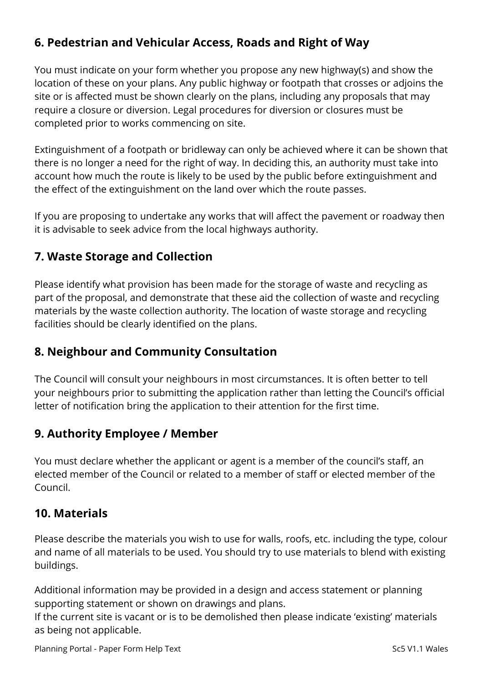# **6. Pedestrian and Vehicular Access, Roads and Right of Way**

You must indicate on your form whether you propose any new highway(s) and show the location of these on your plans. Any public highway or footpath that crosses or adjoins the site or is affected must be shown clearly on the plans, including any proposals that may require a closure or diversion. Legal procedures for diversion or closures must be completed prior to works commencing on site.

Extinguishment of a footpath or bridleway can only be achieved where it can be shown that there is no longer a need for the right of way. In deciding this, an authority must take into account how much the route is likely to be used by the public before extinguishment and the effect of the extinguishment on the land over which the route passes.

If you are proposing to undertake any works that will affect the pavement or roadway then it is advisable to seek advice from the local highways authority.

## **7. Waste Storage and Collection**

Please identify what provision has been made for the storage of waste and recycling as part of the proposal, and demonstrate that these aid the collection of waste and recycling materials by the waste collection authority. The location of waste storage and recycling facilities should be clearly identified on the plans.

# **8. Neighbour and Community Consultation**

The Council will consult your neighbours in most circumstances. It is often better to tell your neighbours prior to submitting the application rather than letting the Council's official letter of notification bring the application to their attention for the first time.

### **9. Authority Employee / Member**

You must declare whether the applicant or agent is a member of the council's staff, an elected member of the Council or related to a member of staff or elected member of the Council.

### **10. Materials**

Please describe the materials you wish to use for walls, roofs, etc. including the type, colour and name of all materials to be used. You should try to use materials to blend with existing buildings.

Additional information may be provided in a design and access statement or planning supporting statement or shown on drawings and plans.

If the current site is vacant or is to be demolished then please indicate 'existing' materials as being not applicable.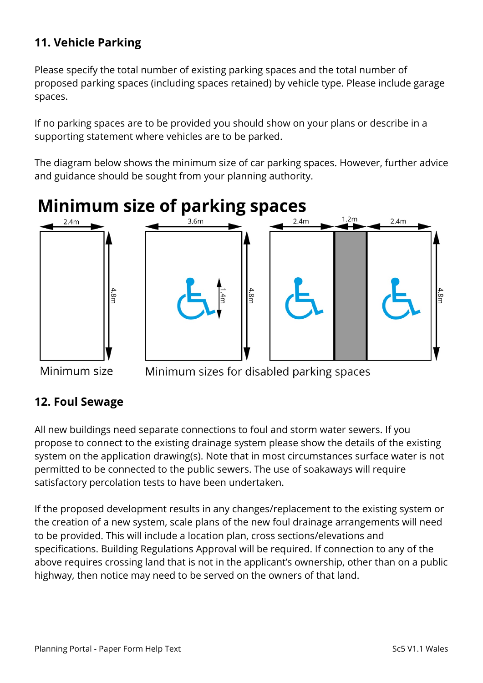# **11. Vehicle Parking**

Please specify the total number of existing parking spaces and the total number of proposed parking spaces (including spaces retained) by vehicle type. Please include garage spaces.

If no parking spaces are to be provided you should show on your plans or describe in a supporting statement where vehicles are to be parked.

The diagram below shows the minimum size of car parking spaces. However, further advice and guidance should be sought from your planning authority.



Minimum size

Minimum sizes for disabled parking spaces

# **12. Foul Sewage**

All new buildings need separate connections to foul and storm water sewers. If you propose to connect to the existing drainage system please show the details of the existing system on the application drawing(s). Note that in most circumstances surface water is not permitted to be connected to the public sewers. The use of soakaways will require satisfactory percolation tests to have been undertaken.

If the proposed development results in any changes/replacement to the existing system or the creation of a new system, scale plans of the new foul drainage arrangements will need to be provided. This will include a location plan, cross sections/elevations and specifications. Building Regulations Approval will be required. If connection to any of the above requires crossing land that is not in the applicant's ownership, other than on a public highway, then notice may need to be served on the owners of that land.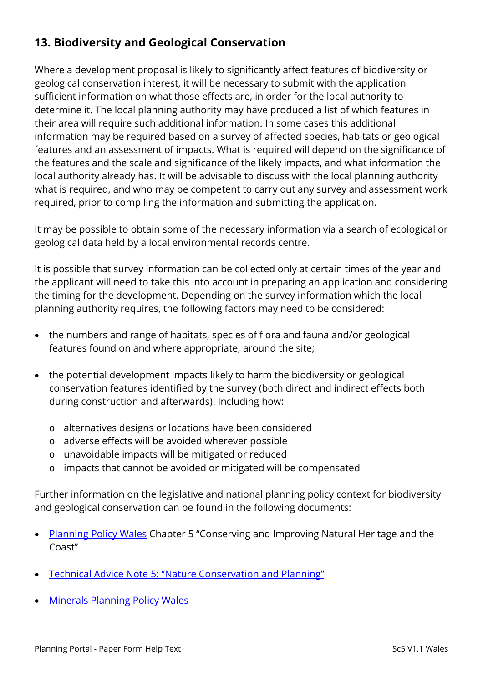# **13. Biodiversity and Geological Conservation**

Where a development proposal is likely to significantly affect features of biodiversity or geological conservation interest, it will be necessary to submit with the application sufficient information on what those effects are, in order for the local authority to determine it. The local planning authority may have produced a list of which features in their area will require such additional information. In some cases this additional information may be required based on a survey of affected species, habitats or geological features and an assessment of impacts. What is required will depend on the significance of the features and the scale and significance of the likely impacts, and what information the local authority already has. It will be advisable to discuss with the local planning authority what is required, and who may be competent to carry out any survey and assessment work required, prior to compiling the information and submitting the application.

It may be possible to obtain some of the necessary information via a search of ecological or geological data held by a local environmental records centre.

It is possible that survey information can be collected only at certain times of the year and the applicant will need to take this into account in preparing an application and considering the timing for the development. Depending on the survey information which the local planning authority requires, the following factors may need to be considered:

- the numbers and range of habitats, species of flora and fauna and/or geological features found on and where appropriate, around the site;
- the potential development impacts likely to harm the biodiversity or geological conservation features identified by the survey (both direct and indirect effects both during construction and afterwards). Including how:
	- o alternatives designs or locations have been considered
	- o adverse effects will be avoided wherever possible
	- o unavoidable impacts will be mitigated or reduced
	- o impacts that cannot be avoided or mitigated will be compensated

Further information on the legislative and national planning policy context for biodiversity and geological conservation can be found in the following documents:

- [Planning Policy Wales](http://gov.wales/topics/planning/policy/ppw/?lang=en) Chapter 5 "Conserving and Improving Natural Heritage and the Coast"
- [Technical Advice Note 5: "Nature Conservation and Planning"](http://gov.wales/topics/planning/policy/tans/tan5/?lang=en)
- [Minerals Planning Policy Wales](http://gov.wales/topics/planning/policy/minerals/mineralsplanning/?lang=en)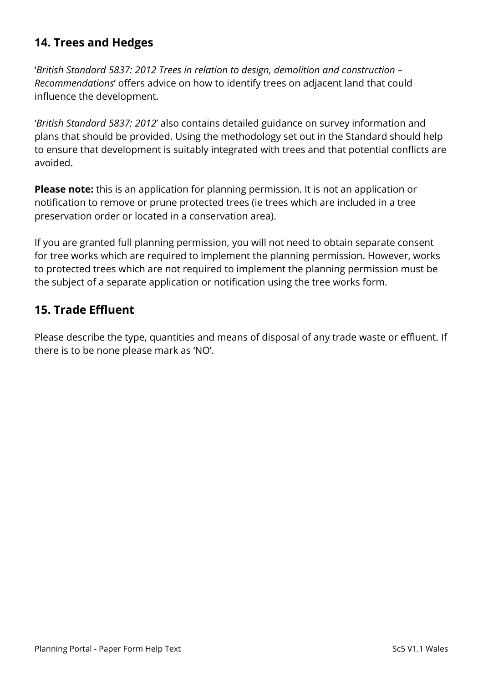# **14. Trees and Hedges**

'*British Standard 5837: 2012 Trees in relation to design, demolition and construction – Recommendations*' offers advice on how to identify trees on adjacent land that could influence the development.

'*British Standard 5837: 2012*' also contains detailed guidance on survey information and plans that should be provided. Using the methodology set out in the Standard should help to ensure that development is suitably integrated with trees and that potential conflicts are avoided.

**Please note:** this is an application for planning permission. It is not an application or notification to remove or prune protected trees (ie trees which are included in a tree preservation order or located in a conservation area).

If you are granted full planning permission, you will not need to obtain separate consent for tree works which are required to implement the planning permission. However, works to protected trees which are not required to implement the planning permission must be the subject of a separate application or notification using the tree works form.

# **15. Trade Effluent**

Please describe the type, quantities and means of disposal of any trade waste or effluent. If there is to be none please mark as 'NO'.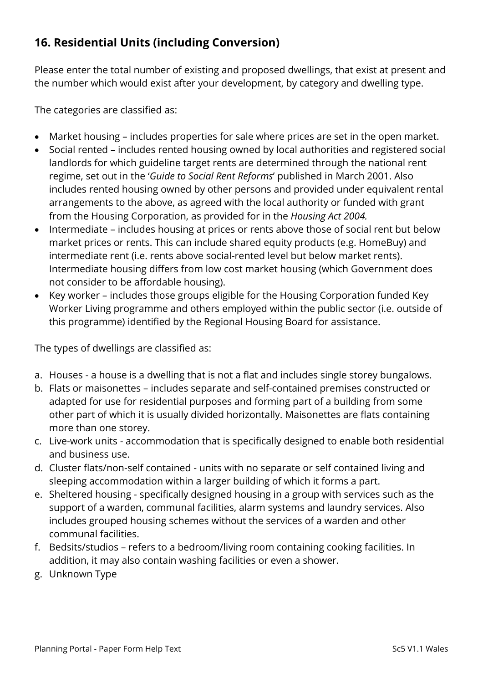# **16. Residential Units (including Conversion)**

Please enter the total number of existing and proposed dwellings, that exist at present and the number which would exist after your development, by category and dwelling type.

The categories are classified as:

- Market housing includes properties for sale where prices are set in the open market.
- Social rented includes rented housing owned by local authorities and registered social landlords for which guideline target rents are determined through the national rent regime, set out in the '*Guide to Social Rent Reforms*' published in March 2001. Also includes rented housing owned by other persons and provided under equivalent rental arrangements to the above, as agreed with the local authority or funded with grant from the Housing Corporation, as provided for in the *Housing Act 2004.*
- Intermediate includes housing at prices or rents above those of social rent but below market prices or rents. This can include shared equity products (e.g. HomeBuy) and intermediate rent (i.e. rents above social-rented level but below market rents). Intermediate housing differs from low cost market housing (which Government does not consider to be affordable housing).
- Key worker includes those groups eligible for the Housing Corporation funded Key Worker Living programme and others employed within the public sector (i.e. outside of this programme) identified by the Regional Housing Board for assistance.

The types of dwellings are classified as:

- a. Houses a house is a dwelling that is not a flat and includes single storey bungalows.
- b. Flats or maisonettes includes separate and self-contained premises constructed or adapted for use for residential purposes and forming part of a building from some other part of which it is usually divided horizontally. Maisonettes are flats containing more than one storey.
- c. Live-work units accommodation that is specifically designed to enable both residential and business use.
- d. Cluster flats/non-self contained units with no separate or self contained living and sleeping accommodation within a larger building of which it forms a part.
- e. Sheltered housing specifically designed housing in a group with services such as the support of a warden, communal facilities, alarm systems and laundry services. Also includes grouped housing schemes without the services of a warden and other communal facilities.
- f. Bedsits/studios refers to a bedroom/living room containing cooking facilities. In addition, it may also contain washing facilities or even a shower.
- g. Unknown Type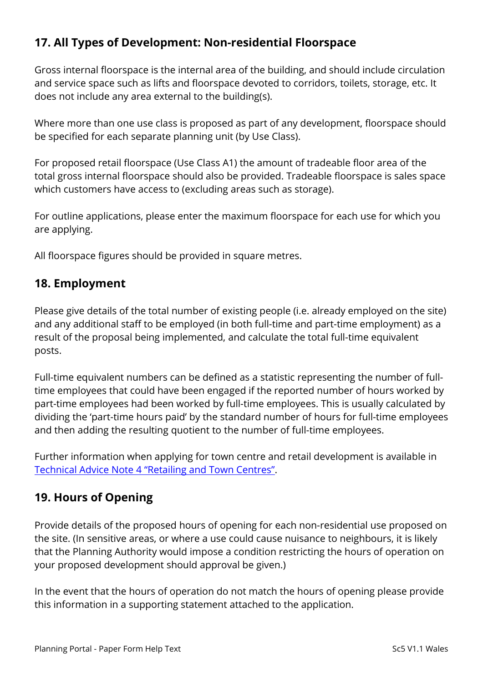# **17. All Types of Development: Non-residential Floorspace**

Gross internal floorspace is the internal area of the building, and should include circulation and service space such as lifts and floorspace devoted to corridors, toilets, storage, etc. It does not include any area external to the building(s).

Where more than one use class is proposed as part of any development, floorspace should be specified for each separate planning unit (by Use Class).

For proposed retail floorspace (Use Class A1) the amount of tradeable floor area of the total gross internal floorspace should also be provided. Tradeable floorspace is sales space which customers have access to (excluding areas such as storage).

For outline applications, please enter the maximum floorspace for each use for which you are applying.

All floorspace figures should be provided in square metres.

### **18. Employment**

Please give details of the total number of existing people (i.e. already employed on the site) and any additional staff to be employed (in both full-time and part-time employment) as a result of the proposal being implemented, and calculate the total full-time equivalent posts.

Full-time equivalent numbers can be defined as a statistic representing the number of fulltime employees that could have been engaged if the reported number of hours worked by part-time employees had been worked by full-time employees. This is usually calculated by dividing the 'part-time hours paid' by the standard number of hours for full-time employees and then adding the resulting quotient to the number of full-time employees.

Further information when applying for town centre and retail development is available in [Technical Advice Note 4 "Retailing and Town Centres".](http://gov.wales/topics/planning/policy/tans/tan4/?lang=en)

### **19. Hours of Opening**

Provide details of the proposed hours of opening for each non-residential use proposed on the site. (In sensitive areas, or where a use could cause nuisance to neighbours, it is likely that the Planning Authority would impose a condition restricting the hours of operation on your proposed development should approval be given.)

In the event that the hours of operation do not match the hours of opening please provide this information in a supporting statement attached to the application.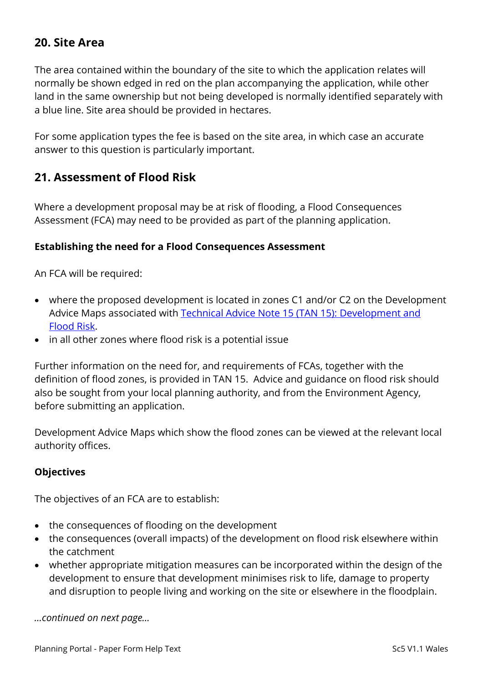## **20. Site Area**

The area contained within the boundary of the site to which the application relates will normally be shown edged in red on the plan accompanying the application, while other land in the same ownership but not being developed is normally identified separately with a blue line. Site area should be provided in hectares.

For some application types the fee is based on the site area, in which case an accurate answer to this question is particularly important.

### **21. Assessment of Flood Risk**

Where a development proposal may be at risk of flooding, a Flood Consequences Assessment (FCA) may need to be provided as part of the planning application.

#### **Establishing the need for a Flood Consequences Assessment**

An FCA will be required:

- where the proposed development is located in zones C1 and/or C2 on the Development Advice Maps associated with [Technical Advice Note 15 \(TAN 15\): Development and](http://gov.wales/topics/planning/policy/tans/tan15/?lang=en)  [Flood Risk.](http://gov.wales/topics/planning/policy/tans/tan15/?lang=en)
- in all other zones where flood risk is a potential issue

Further information on the need for, and requirements of FCAs, together with the definition of flood zones, is provided in TAN 15. Advice and guidance on flood risk should also be sought from your local planning authority, and from the Environment Agency, before submitting an application.

Development Advice Maps which show the flood zones can be viewed at the relevant local authority offices.

#### **Objectives**

The objectives of an FCA are to establish:

- the consequences of flooding on the development
- the consequences (overall impacts) of the development on flood risk elsewhere within the catchment
- whether appropriate mitigation measures can be incorporated within the design of the development to ensure that development minimises risk to life, damage to property and disruption to people living and working on the site or elsewhere in the floodplain.

*…continued on next page…*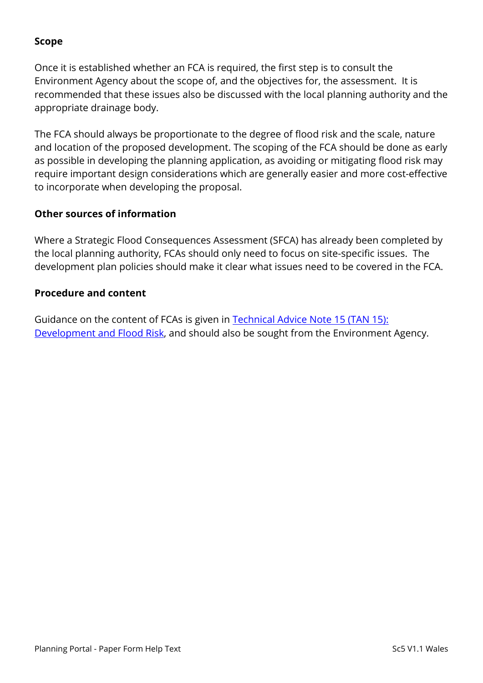#### **Scope**

Once it is established whether an FCA is required, the first step is to consult the Environment Agency about the scope of, and the objectives for, the assessment. It is recommended that these issues also be discussed with the local planning authority and the appropriate drainage body.

The FCA should always be proportionate to the degree of flood risk and the scale, nature and location of the proposed development. The scoping of the FCA should be done as early as possible in developing the planning application, as avoiding or mitigating flood risk may require important design considerations which are generally easier and more cost-effective to incorporate when developing the proposal.

#### **Other sources of information**

Where a Strategic Flood Consequences Assessment (SFCA) has already been completed by the local planning authority, FCAs should only need to focus on site-specific issues. The development plan policies should make it clear what issues need to be covered in the FCA.

#### **Procedure and content**

Guidance on the content of FCAs is given in [Technical Advice Note 15 \(TAN 15\):](http://gov.wales/topics/planning/policy/tans/tan15/?lang=en)  [Development and Flood Risk,](http://gov.wales/topics/planning/policy/tans/tan15/?lang=en) and should also be sought from the Environment Agency.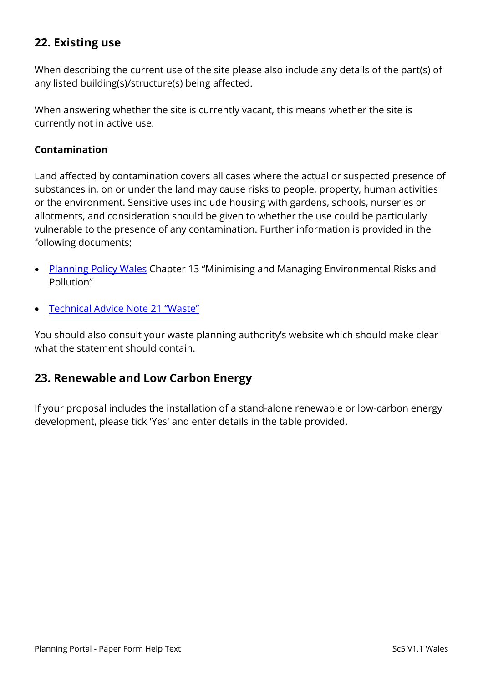# **22. Existing use**

When describing the current use of the site please also include any details of the part(s) of any listed building(s)/structure(s) being affected.

When answering whether the site is currently vacant, this means whether the site is currently not in active use.

#### **Contamination**

Land affected by contamination covers all cases where the actual or suspected presence of substances in, on or under the land may cause risks to people, property, human activities or the environment. Sensitive uses include housing with gardens, schools, nurseries or allotments, and consideration should be given to whether the use could be particularly vulnerable to the presence of any contamination. Further information is provided in the following documents;

- [Planning Policy Wales](http://gov.wales/topics/planning/policy/ppw/?lang=en) Chapter 13 "Minimising and Managing Environmental Risks and Pollution"
- [Technical Advice Note 21 "Waste"](http://gov.wales/topics/planning/policy/tans/tan21/?lang=en)

You should also consult your waste planning authority's website which should make clear what the statement should contain.

#### **23. Renewable and Low Carbon Energy**

If your proposal includes the installation of a stand-alone renewable or low-carbon energy development, please tick 'Yes' and enter details in the table provided.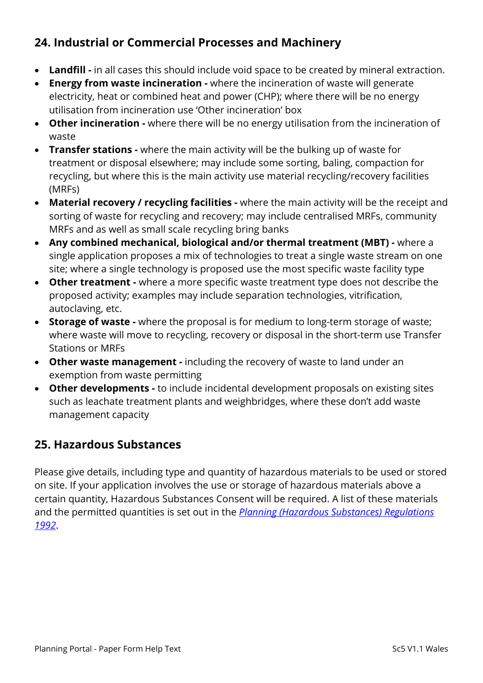# **24. Industrial or Commercial Processes and Machinery**

- **Landfill -** in all cases this should include void space to be created by mineral extraction.
- **Energy from waste incineration -** where the incineration of waste will generate electricity, heat or combined heat and power (CHP); where there will be no energy utilisation from incineration use 'Other incineration' box
- **Other incineration -** where there will be no energy utilisation from the incineration of waste
- **Transfer stations -** where the main activity will be the bulking up of waste for treatment or disposal elsewhere; may include some sorting, baling, compaction for recycling, but where this is the main activity use material recycling/recovery facilities (MRFs)
- **Material recovery / recycling facilities -** where the main activity will be the receipt and sorting of waste for recycling and recovery; may include centralised MRFs, community MRFs and as well as small scale recycling bring banks
- **Any combined mechanical, biological and/or thermal treatment (MBT) -** where a single application proposes a mix of technologies to treat a single waste stream on one site; where a single technology is proposed use the most specific waste facility type
- **Other treatment -** where a more specific waste treatment type does not describe the proposed activity; examples may include separation technologies, vitrification, autoclaving, etc.
- **Storage of waste -** where the proposal is for medium to long-term storage of waste; where waste will move to recycling, recovery or disposal in the short-term use Transfer Stations or MRFs
- **Other waste management -** including the recovery of waste to land under an exemption from waste permitting
- **Other developments -** to include incidental development proposals on existing sites such as leachate treatment plants and weighbridges, where these don't add waste management capacity

# **25. Hazardous Substances**

Please give details, including type and quantity of hazardous materials to be used or stored on site. If your application involves the use or storage of hazardous materials above a certain quantity, Hazardous Substances Consent will be required. A list of these materials and the permitted quantities is set out in the *[Planning \(Hazardous Substances\) Regulations](http://www.legislation.gov.uk/uksi/1992/656/contents/made)  [1992](http://www.legislation.gov.uk/uksi/1992/656/contents/made)*.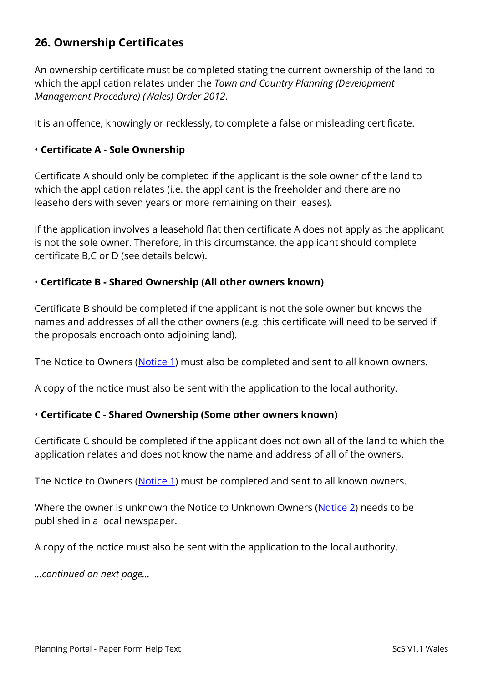# **26. Ownership Certificates**

An ownership certificate must be completed stating the current ownership of the land to which the application relates under the *Town and Country Planning (Development Management Procedure) (Wales) Order 2012*.

It is an offence, knowingly or recklessly, to complete a false or misleading certificate.

#### • **Certificate A - Sole Ownership**

Certificate A should only be completed if the applicant is the sole owner of the land to which the application relates (i.e. the applicant is the freeholder and there are no leaseholders with seven years or more remaining on their leases).

If the application involves a leasehold flat then certificate A does not apply as the applicant is not the sole owner. Therefore, in this circumstance, the applicant should complete certificate B,C or D (see details below).

#### • **Certificate B - Shared Ownership (All other owners known)**

Certificate B should be completed if the applicant is not the sole owner but knows the names and addresses of all the other owners (e.g. this certificate will need to be served if the proposals encroach onto adjoining land).

The Notice to Owners [\(Notice 1\)](https://ecab.planningportal.co.uk/uploads/1app/notices/notice1_wales.pdf) must also be completed and sent to all known owners.

A copy of the notice must also be sent with the application to the local authority.

#### • **Certificate C - Shared Ownership (Some other owners known)**

Certificate C should be completed if the applicant does not own all of the land to which the application relates and does not know the name and address of all of the owners.

The Notice to Owners [\(Notice 1\)](https://ecab.planningportal.co.uk/uploads/1app/notices/notice1_wales.pdf) must be completed and sent to all known owners.

Where the owner is unknown the Notice to Unknown Owners [\(Notice 2\)](https://ecab.planningportal.co.uk/uploads/1app/notices/notice2_wales.pdf) needs to be published in a local newspaper.

A copy of the notice must also be sent with the application to the local authority.

*…continued on next page…*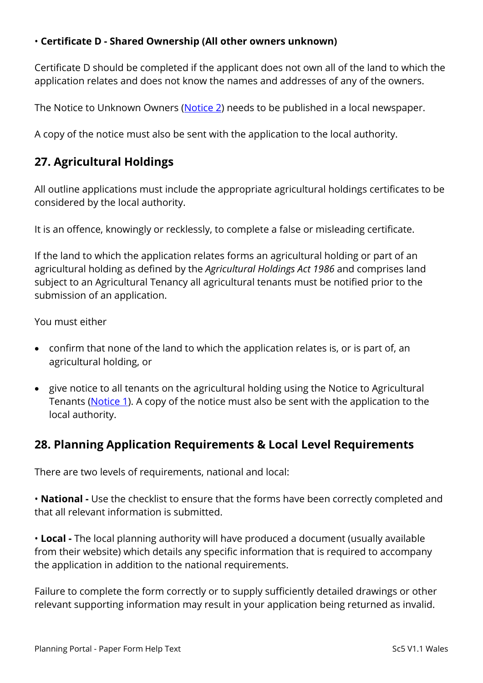#### • **Certificate D - Shared Ownership (All other owners unknown)**

Certificate D should be completed if the applicant does not own all of the land to which the application relates and does not know the names and addresses of any of the owners.

The Notice to Unknown Owners [\(Notice 2\)](https://ecab.planningportal.co.uk/uploads/1app/notices/notice2_wales.pdf) needs to be published in a local newspaper.

A copy of the notice must also be sent with the application to the local authority.

# **27. Agricultural Holdings**

All outline applications must include the appropriate agricultural holdings certificates to be considered by the local authority.

It is an offence, knowingly or recklessly, to complete a false or misleading certificate.

If the land to which the application relates forms an agricultural holding or part of an agricultural holding as defined by the *Agricultural Holdings Act 1986* and comprises land subject to an Agricultural Tenancy all agricultural tenants must be notified prior to the submission of an application.

You must either

- confirm that none of the land to which the application relates is, or is part of, an agricultural holding, or
- give notice to all tenants on the agricultural holding using the Notice to Agricultural Tenants [\(Notice 1\)](https://ecab.planningportal.co.uk/uploads/1app/notices/notice1_wales.pdf). A copy of the notice must also be sent with the application to the local authority.

# **28. Planning Application Requirements & Local Level Requirements**

There are two levels of requirements, national and local:

• **National -** Use the checklist to ensure that the forms have been correctly completed and that all relevant information is submitted.

• **Local -** The local planning authority will have produced a document (usually available from their website) which details any specific information that is required to accompany the application in addition to the national requirements.

Failure to complete the form correctly or to supply sufficiently detailed drawings or other relevant supporting information may result in your application being returned as invalid.